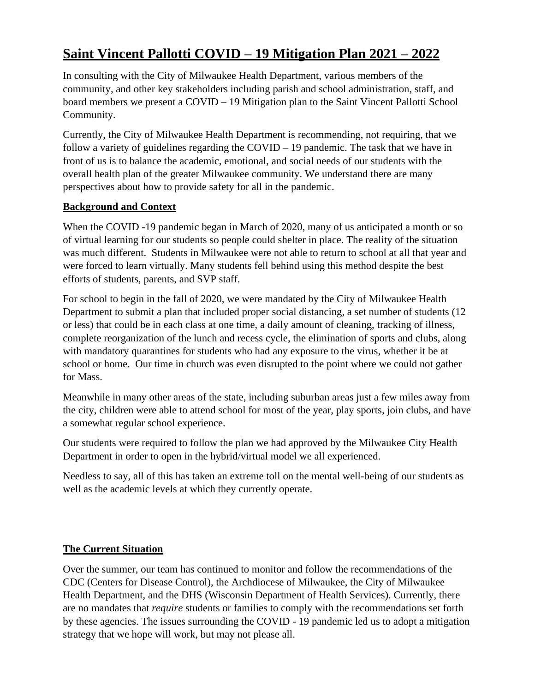# **Saint Vincent Pallotti COVID – 19 Mitigation Plan 2021 – 2022**

In consulting with the City of Milwaukee Health Department, various members of the community, and other key stakeholders including parish and school administration, staff, and board members we present a COVID – 19 Mitigation plan to the Saint Vincent Pallotti School Community.

Currently, the City of Milwaukee Health Department is recommending, not requiring, that we follow a variety of guidelines regarding the COVID – 19 pandemic. The task that we have in front of us is to balance the academic, emotional, and social needs of our students with the overall health plan of the greater Milwaukee community. We understand there are many perspectives about how to provide safety for all in the pandemic.

#### **Background and Context**

When the COVID -19 pandemic began in March of 2020, many of us anticipated a month or so of virtual learning for our students so people could shelter in place. The reality of the situation was much different. Students in Milwaukee were not able to return to school at all that year and were forced to learn virtually. Many students fell behind using this method despite the best efforts of students, parents, and SVP staff.

For school to begin in the fall of 2020, we were mandated by the City of Milwaukee Health Department to submit a plan that included proper social distancing, a set number of students (12 or less) that could be in each class at one time, a daily amount of cleaning, tracking of illness, complete reorganization of the lunch and recess cycle, the elimination of sports and clubs, along with mandatory quarantines for students who had any exposure to the virus, whether it be at school or home. Our time in church was even disrupted to the point where we could not gather for Mass.

Meanwhile in many other areas of the state, including suburban areas just a few miles away from the city, children were able to attend school for most of the year, play sports, join clubs, and have a somewhat regular school experience.

Our students were required to follow the plan we had approved by the Milwaukee City Health Department in order to open in the hybrid/virtual model we all experienced.

Needless to say, all of this has taken an extreme toll on the mental well-being of our students as well as the academic levels at which they currently operate.

### **The Current Situation**

Over the summer, our team has continued to monitor and follow the recommendations of the CDC (Centers for Disease Control), the Archdiocese of Milwaukee, the City of Milwaukee Health Department, and the DHS (Wisconsin Department of Health Services). Currently, there are no mandates that *require* students or families to comply with the recommendations set forth by these agencies. The issues surrounding the COVID - 19 pandemic led us to adopt a mitigation strategy that we hope will work, but may not please all.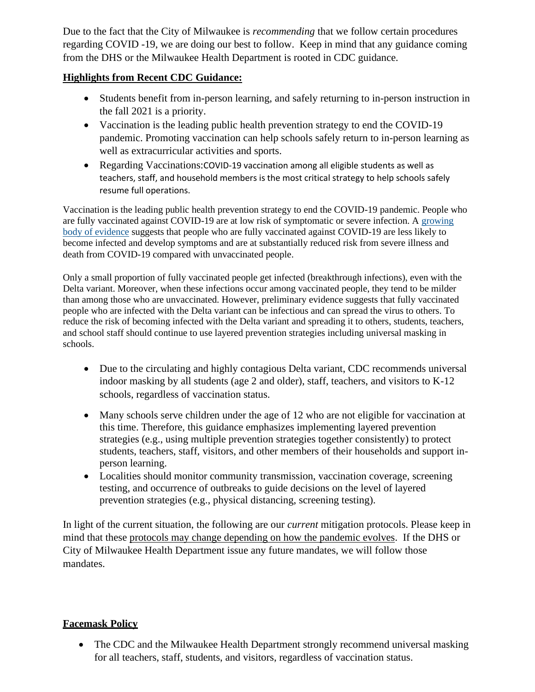Due to the fact that the City of Milwaukee is *recommending* that we follow certain procedures regarding COVID -19, we are doing our best to follow. Keep in mind that any guidance coming from the DHS or the Milwaukee Health Department is rooted in CDC guidance.

#### **Highlights from Recent CDC Guidance:**

- Students benefit from in-person learning, and safely returning to in-person instruction in the fall 2021 is a priority.
- Vaccination is the leading public health prevention strategy to end the COVID-19 pandemic. Promoting vaccination can help schools safely return to in-person learning as well as extracurricular activities and sports.
- Regarding Vaccinations:COVID-19 vaccination among all eligible students as well as teachers, staff, and household members is the most critical strategy to help schools safely resume full operations.

Vaccination is the leading public health prevention strategy to end the COVID-19 pandemic. People who are fully vaccinated against COVID-19 are at low risk of symptomatic or severe infection. A [growing](https://www.cdc.gov/coronavirus/2019-ncov/science/science-briefs/fully-vaccinated-people.html)  [body of evidence](https://www.cdc.gov/coronavirus/2019-ncov/science/science-briefs/fully-vaccinated-people.html) suggests that people who are fully vaccinated against COVID-19 are less likely to become infected and develop symptoms and are at substantially reduced risk from severe illness and death from COVID-19 compared with unvaccinated people.

Only a small proportion of fully vaccinated people get infected (breakthrough infections), even with the Delta variant. Moreover, when these infections occur among vaccinated people, they tend to be milder than among those who are unvaccinated. However, preliminary evidence suggests that fully vaccinated people who are infected with the Delta variant can be infectious and can spread the virus to others. To reduce the risk of becoming infected with the Delta variant and spreading it to others, students, teachers, and school staff should continue to use layered prevention strategies including universal masking in schools.

- Due to the circulating and highly contagious Delta variant, CDC recommends universal indoor masking by all students (age 2 and older), staff, teachers, and visitors to K-12 schools, regardless of vaccination status.
- Many schools serve children under the age of 12 who are not eligible for vaccination at this time. Therefore, this guidance emphasizes implementing layered prevention strategies (e.g., using multiple prevention strategies together consistently) to protect students, teachers, staff, visitors, and other members of their households and support inperson learning.
- Localities should monitor community transmission, vaccination coverage, screening testing, and occurrence of outbreaks to guide decisions on the level of layered prevention strategies (e.g., physical distancing, screening testing).

In light of the current situation, the following are our *current* mitigation protocols. Please keep in mind that these protocols may change depending on how the pandemic evolves. If the DHS or City of Milwaukee Health Department issue any future mandates, we will follow those mandates.

### **Facemask Policy**

• The CDC and the Milwaukee Health Department strongly recommend universal masking for all teachers, staff, students, and visitors, regardless of vaccination status.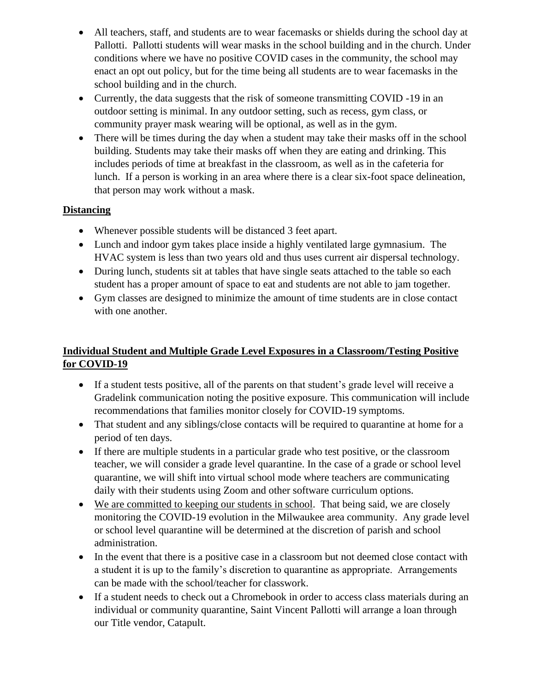- All teachers, staff, and students are to wear facemasks or shields during the school day at Pallotti. Pallotti students will wear masks in the school building and in the church. Under conditions where we have no positive COVID cases in the community, the school may enact an opt out policy, but for the time being all students are to wear facemasks in the school building and in the church.
- Currently, the data suggests that the risk of someone transmitting COVID -19 in an outdoor setting is minimal. In any outdoor setting, such as recess, gym class, or community prayer mask wearing will be optional, as well as in the gym.
- There will be times during the day when a student may take their masks off in the school building. Students may take their masks off when they are eating and drinking. This includes periods of time at breakfast in the classroom, as well as in the cafeteria for lunch. If a person is working in an area where there is a clear six-foot space delineation, that person may work without a mask.

### **Distancing**

- Whenever possible students will be distanced 3 feet apart.
- Lunch and indoor gym takes place inside a highly ventilated large gymnasium. The HVAC system is less than two years old and thus uses current air dispersal technology.
- During lunch, students sit at tables that have single seats attached to the table so each student has a proper amount of space to eat and students are not able to jam together.
- Gym classes are designed to minimize the amount of time students are in close contact with one another.

### **Individual Student and Multiple Grade Level Exposures in a Classroom/Testing Positive for COVID-19**

- If a student tests positive, all of the parents on that student's grade level will receive a Gradelink communication noting the positive exposure. This communication will include recommendations that families monitor closely for COVID-19 symptoms.
- That student and any siblings/close contacts will be required to quarantine at home for a period of ten days.
- If there are multiple students in a particular grade who test positive, or the classroom teacher, we will consider a grade level quarantine. In the case of a grade or school level quarantine, we will shift into virtual school mode where teachers are communicating daily with their students using Zoom and other software curriculum options.
- We are committed to keeping our students in school. That being said, we are closely monitoring the COVID-19 evolution in the Milwaukee area community. Any grade level or school level quarantine will be determined at the discretion of parish and school administration.
- In the event that there is a positive case in a classroom but not deemed close contact with a student it is up to the family's discretion to quarantine as appropriate. Arrangements can be made with the school/teacher for classwork.
- If a student needs to check out a Chromebook in order to access class materials during an individual or community quarantine, Saint Vincent Pallotti will arrange a loan through our Title vendor, Catapult.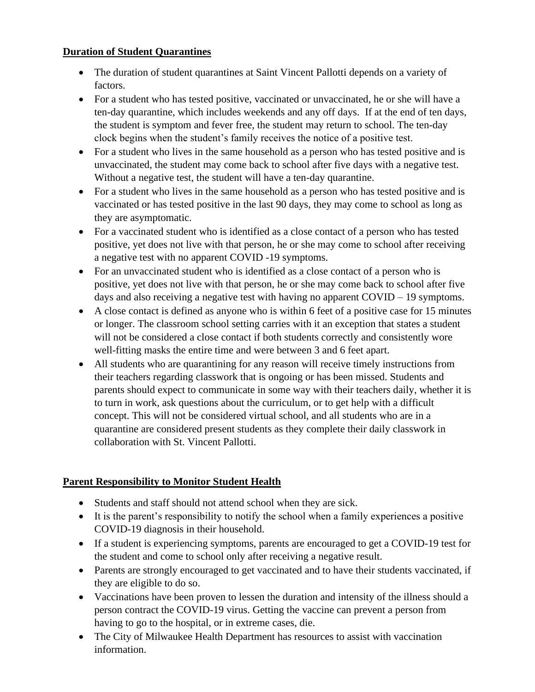#### **Duration of Student Quarantines**

- The duration of student quarantines at Saint Vincent Pallotti depends on a variety of factors.
- For a student who has tested positive, vaccinated or unvaccinated, he or she will have a ten-day quarantine, which includes weekends and any off days. If at the end of ten days, the student is symptom and fever free, the student may return to school. The ten-day clock begins when the student's family receives the notice of a positive test.
- For a student who lives in the same household as a person who has tested positive and is unvaccinated, the student may come back to school after five days with a negative test. Without a negative test, the student will have a ten-day quarantine.
- For a student who lives in the same household as a person who has tested positive and is vaccinated or has tested positive in the last 90 days, they may come to school as long as they are asymptomatic.
- For a vaccinated student who is identified as a close contact of a person who has tested positive, yet does not live with that person, he or she may come to school after receiving a negative test with no apparent COVID -19 symptoms.
- For an unvaccinated student who is identified as a close contact of a person who is positive, yet does not live with that person, he or she may come back to school after five days and also receiving a negative test with having no apparent COVID – 19 symptoms.
- A close contact is defined as anyone who is within 6 feet of a positive case for 15 minutes or longer. The classroom school setting carries with it an exception that states a student will not be considered a close contact if both students correctly and consistently wore well-fitting masks the entire time and were between 3 and 6 feet apart.
- All students who are quarantining for any reason will receive timely instructions from their teachers regarding classwork that is ongoing or has been missed. Students and parents should expect to communicate in some way with their teachers daily, whether it is to turn in work, ask questions about the curriculum, or to get help with a difficult concept. This will not be considered virtual school, and all students who are in a quarantine are considered present students as they complete their daily classwork in collaboration with St. Vincent Pallotti.

### **Parent Responsibility to Monitor Student Health**

- Students and staff should not attend school when they are sick.
- It is the parent's responsibility to notify the school when a family experiences a positive COVID-19 diagnosis in their household.
- If a student is experiencing symptoms, parents are encouraged to get a COVID-19 test for the student and come to school only after receiving a negative result.
- Parents are strongly encouraged to get vaccinated and to have their students vaccinated, if they are eligible to do so.
- Vaccinations have been proven to lessen the duration and intensity of the illness should a person contract the COVID-19 virus. Getting the vaccine can prevent a person from having to go to the hospital, or in extreme cases, die.
- The City of Milwaukee Health Department has resources to assist with vaccination information.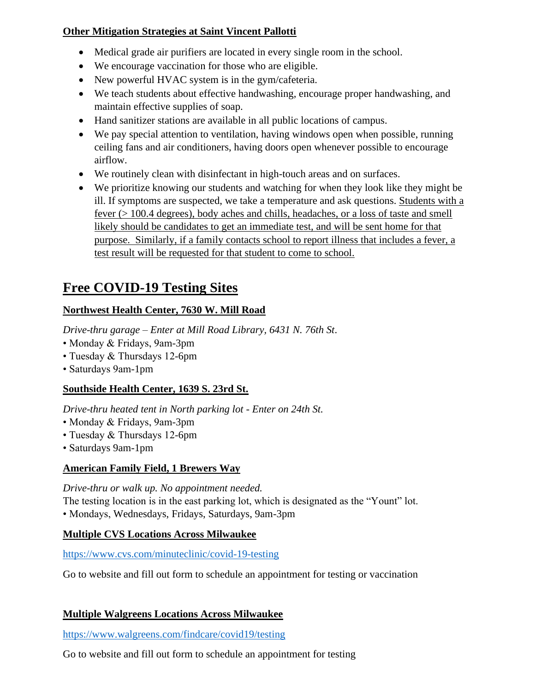### **Other Mitigation Strategies at Saint Vincent Pallotti**

- Medical grade air purifiers are located in every single room in the school.
- We encourage vaccination for those who are eligible.
- New powerful HVAC system is in the gym/cafeteria.
- We teach students about effective handwashing, encourage proper handwashing, and maintain effective supplies of soap.
- Hand sanitizer stations are available in all public locations of campus.
- We pay special attention to ventilation, having windows open when possible, running ceiling fans and air conditioners, having doors open whenever possible to encourage airflow.
- We routinely clean with disinfectant in high-touch areas and on surfaces.
- We prioritize knowing our students and watching for when they look like they might be ill. If symptoms are suspected, we take a temperature and ask questions. Students with a fever (> 100.4 degrees), body aches and chills, headaches, or a loss of taste and smell likely should be candidates to get an immediate test, and will be sent home for that purpose. Similarly, if a family contacts school to report illness that includes a fever, a test result will be requested for that student to come to school.

# **Free COVID-19 Testing Sites**

## **Northwest Health Center, 7630 W. Mill Road**

*Drive-thru garage – Enter at Mill Road Library, 6431 N. 76th St*.

- Monday & Fridays, 9am-3pm
- Tuesday & Thursdays 12-6pm
- Saturdays 9am-1pm

## **Southside Health Center, 1639 S. 23rd St.**

*Drive-thru heated tent in North parking lot - Enter on 24th St.*

- Monday & Fridays, 9am-3pm
- Tuesday & Thursdays 12-6pm
- Saturdays 9am-1pm

## **American Family Field, 1 Brewers Way**

*Drive-thru or walk up. No appointment needed.*

The testing location is in the east parking lot, which is designated as the "Yount" lot.

• Mondays, Wednesdays, Fridays, Saturdays, 9am-3pm

### **Multiple CVS Locations Across Milwaukee**

<https://www.cvs.com/minuteclinic/covid-19-testing>

Go to website and fill out form to schedule an appointment for testing or vaccination

### **Multiple Walgreens Locations Across Milwaukee**

<https://www.walgreens.com/findcare/covid19/testing>

Go to website and fill out form to schedule an appointment for testing